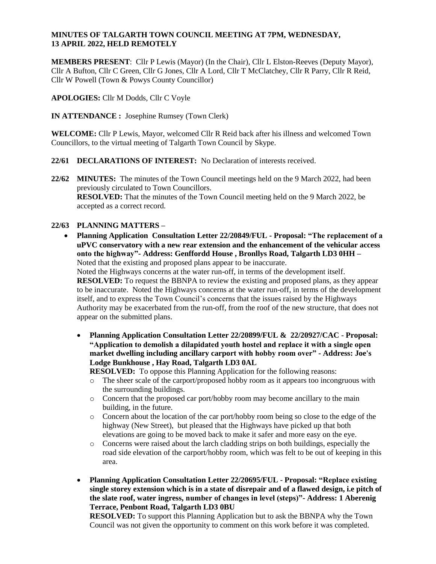#### **MINUTES OF TALGARTH TOWN COUNCIL MEETING AT 7PM, WEDNESDAY, 13 APRIL 2022, HELD REMOTELY**

**MEMBERS PRESENT**: Cllr P Lewis (Mayor) (In the Chair), Cllr L Elston-Reeves (Deputy Mayor), Cllr A Bufton, Cllr C Green, Cllr G Jones, Cllr A Lord, Cllr T McClatchey, Cllr R Parry, Cllr R Reid, Cllr W Powell (Town & Powys County Councillor)

**APOLOGIES:** Cllr M Dodds, Cllr C Voyle

**IN ATTENDANCE :** Josephine Rumsey (Town Clerk)

**WELCOME:** Cllr P Lewis, Mayor, welcomed Cllr R Reid back after his illness and welcomed Town Councillors, to the virtual meeting of Talgarth Town Council by Skype.

### **22/61 DECLARATIONS OF INTEREST:** No Declaration of interests received.

**22/62 MINUTES:** The minutes of the Town Council meetings held on the 9 March 2022, had been previously circulated to Town Councillors. **RESOLVED:** That the minutes of the Town Council meeting held on the 9 March 2022, be accepted as a correct record.

### **22/63 PLANNING MATTERS –**

 **Planning Application Consultation Letter 22/20849/FUL - Proposal: "The replacement of a uPVC conservatory with a new rear extension and the enhancement of the vehicular access onto the highway"- Address: Genffordd House , Bronllys Road, Talgarth LD3 0HH –** Noted that the existing and proposed plans appear to be inaccurate.

Noted the Highways concerns at the water run-off, in terms of the development itself. **RESOLVED:** To request the BBNPA to review the existing and proposed plans, as they appear to be inaccurate. Noted the Highways concerns at the water run-off, in terms of the development itself, and to express the Town Council's concerns that the issues raised by the Highways Authority may be exacerbated from the run-off, from the roof of the new structure, that does not appear on the submitted plans.

 **Planning Application Consultation Letter 22/20899/FUL & 22/20927/CAC** - **Proposal: "Application to demolish a dilapidated youth hostel and replace it with a single open market dwelling including ancillary carport with hobby room over" - Address: Joe's Lodge Bunkhouse , Hay Road, Talgarth LD3 0AL**

**RESOLVED:** To oppose this Planning Application for the following reasons:

- o The sheer scale of the carport/proposed hobby room as it appears too incongruous with the surrounding buildings.
- o Concern that the proposed car port/hobby room may become ancillary to the main building, in the future.
- o Concern about the location of the car port/hobby room being so close to the edge of the highway (New Street), but pleased that the Highways have picked up that both elevations are going to be moved back to make it safer and more easy on the eye.
- o Concerns were raised about the larch cladding strips on both buildings, especially the road side elevation of the carport/hobby room, which was felt to be out of keeping in this area.
- **Planning Application Consultation Letter 22/20695/FUL Proposal: "Replace existing single storey extension which is in a state of disrepair and of a flawed design, i.e pitch of the slate roof, water ingress, number of changes in level (steps)"- Address: 1 Aberenig Terrace, Penbont Road, Talgarth LD3 0BU**

**RESOLVED:** To support this Planning Application but to ask the BBNPA why the Town Council was not given the opportunity to comment on this work before it was completed.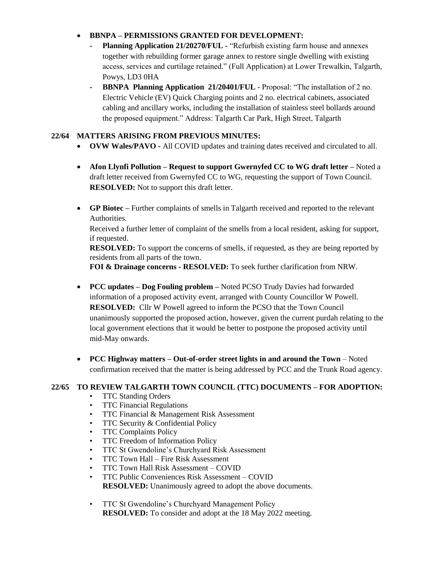# **BBNPA – PERMISSIONS GRANTED FOR DEVELOPMENT:**

- **- Planning Application 21/20270/FUL -** "Refurbish existing farm house and annexes together with rebuilding former garage annex to restore single dwelling with existing access, services and curtilage retained." (Full Application) at Lower Trewalkin, Talgarth, Powys, LD3 0HA
- **- BBNPA Planning Application 21/20401/FUL**  Proposal: "The installation of 2 no. Electric Vehicle (EV) Quick Charging points and 2 no. electrical cabinets, associated cabling and ancillary works, including the installation of stainless steel bollards around the proposed equipment." Address: Talgarth Car Park, High Street, Talgarth

## **22/64 MATTERS ARISING FROM PREVIOUS MINUTES:**

- **OVW Wales/PAVO -** All COVID updates and training dates received and circulated to all.
- **Afon Llynfi Pollution – Request to support Gwernyfed CC to WG draft letter –** Noted a draft letter received from Gwernyfed CC to WG, requesting the support of Town Council. **RESOLVED:** Not to support this draft letter.
- **GP Biotec –** Further complaints of smells in Talgarth received and reported to the relevant Authorities.

Received a further letter of complaint of the smells from a local resident, asking for support, if requested.

**RESOLVED:** To support the concerns of smells, if requested, as they are being reported by residents from all parts of the town.

**FOI & Drainage concerns - RESOLVED:** To seek further clarification from NRW.

- **PCC updates – Dog Fouling problem –** Noted PCSO Trudy Davies had forwarded information of a proposed activity event, arranged with County Councillor W Powell. **RESOLVED:** Cllr W Powell agreed to inform the PCSO that the Town Council unanimously supported the proposed action, however, given the current purdah relating to the local government elections that it would be better to postpone the proposed activity until mid-May onwards.
- **PCC Highway matters – Out-of-order street lights in and around the Town** Noted confirmation received that the matter is being addressed by PCC and the Trunk Road agency.

# **22/65 TO REVIEW TALGARTH TOWN COUNCIL (TTC) DOCUMENTS – FOR ADOPTION:**

- TTC Standing Orders
- TTC Financial Regulations
- TTC Financial & Management Risk Assessment
- TTC Security & Confidential Policy
- TTC Complaints Policy
- TTC Freedom of Information Policy
- TTC St Gwendoline's Churchyard Risk Assessment
- TTC Town Hall Fire Risk Assessment
- TTC Town Hall Risk Assessment COVID
- TTC Public Conveniences Risk Assessment COVID **RESOLVED:** Unanimously agreed to adopt the above documents.
- TTC St Gwendoline's Churchyard Management Policy **RESOLVED:** To consider and adopt at the 18 May 2022 meeting.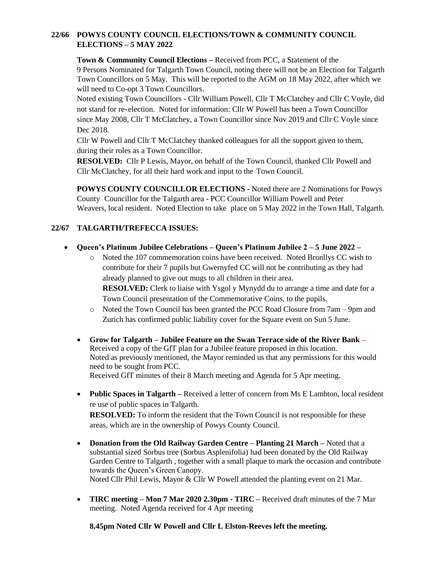# **22/66 POWYS COUNTY COUNCIL ELECTIONS/TOWN & COMMUNITY COUNCIL ELECTIONS – 5 MAY 2022**

**Town & Community Council Elections –** Received from PCC, a Statement of the 9 Persons Nominated for Talgarth Town Council, noting there will not be an Election for Talgarth Town Councillors on 5 May. This will be reported to the AGM on 18 May 2022, after which we will need to Co-opt 3 Town Councillors.

Noted existing Town Councillors - Cllr William Powell, Cllr T McClatchey and Cllr C Voyle, did not stand for re- election. Noted for information: Cllr W Powell has been a Town Councillor since May 2008, Cllr T McClatchey, a Town Councillor since Nov 2019 and Cllr C Voyle since Dec 2018.

Cllr W Powell and Cllr T McClatchey thanked colleagues for all the support given to them, during their roles as a Town Councillor.

**RESOLVED:** Cllr P Lewis, Mayor, on behalf of the Town Council, thanked Cllr Powell and Cllr McClatchey, for all their hard work and input to the Town Council.

**POWYS COUNTY COUNCILLOR ELECTIONS -** Noted there are 2 Nominations for Powys County Councillor for the Talgarth area - PCC Councillor William Powell and Peter Weavers, local resident. Noted Election to take place on 5 May 2022 in the Town Hall, Talgarth.

### **22/67 TALGARTH/TREFECCA ISSUES:**

- **Queen's Platinum Jubilee Celebrations – Queen's Platinum Jubilee 2 – 5 June 2022 –**
	- o Noted the 107 commemoration coins have been received. Noted Bronllys CC wish to contribute for their 7 pupils but Gwernyfed CC will not be contributing as they had already planned to give out mugs to all children in their area.

**RESOLVED:** Clerk to liaise with Ysgol y Mynydd du to arrange a time and date for a Town Council presentation of the Commemorative Coins, to the pupils.

- o Noted the Town Council has been granted the PCC Road Closure from 7am 9pm and Zurich has confirmed public liability cover for the Square event on Sun 5 June.
- **Grow for Talgarth – Jubilee Feature on the Swan Terrace side of the River Bank –** Received a copy of the GfT plan for a Jubilee feature proposed in this location. Noted as previously mentioned, the Mayor reminded us that any permissions for this would need to be sought from PCC. Received GfT minutes of their 8 March meeting and Agenda for 5 Apr meeting.
- **Public Spaces in Talgarth** Received a letter of concern from Ms E Lambton, local resident re use of public spaces in Talgarth.

**RESOLVED:** To inform the resident that the Town Council is not responsible for these areas, which are in the ownership of Powys County Council.

- **Donation from the Old Railway Garden Centre – Planting 21 March –** Noted that a substantial sized Sorbus tree (Sorbus Asplenifolia) had been donated by the Old Railway Garden Centre to Talgarth , together with a small plaque to mark the occasion and contribute towards the Queen's Green Canopy. Noted Cllr Phil Lewis, Mayor & Cllr W Powell attended the planting event on 21 Mar.
- **TIRC meeting – Mon 7 Mar 2020 2.30pm - TIRC –** Received draft minutes of the 7 Mar meeting. Noted Agenda received for 4 Apr meeting

**8.45pm Noted Cllr W Powell and Cllr L Elston-Reeves left the meeting.**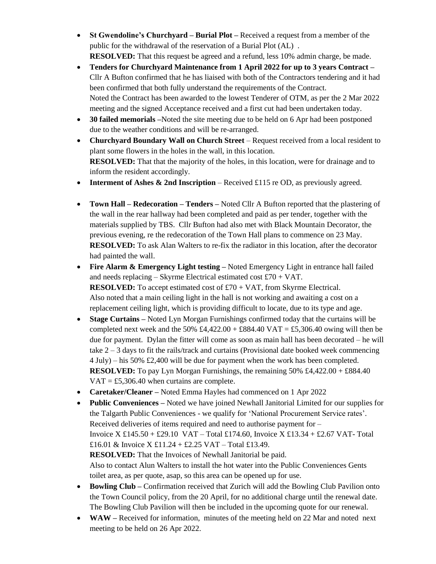- **St Gwendoline's Churchyard – Burial Plot –** Received a request from a member of the public for the withdrawal of the reservation of a Burial Plot (AL) . **RESOLVED:** That this request be agreed and a refund, less 10% admin charge, be made.
- **Tenders for Churchyard Maintenance from 1 April 2022 for up to 3 years Contract –** Cllr A Bufton confirmed that he has liaised with both of the Contractors tendering and it had been confirmed that both fully understand the requirements of the Contract. Noted the Contract has been awarded to the lowest Tenderer of OTM, as per the 2 Mar 2022 meeting and the signed Acceptance received and a first cut had been undertaken today.
- **30 failed memorials** –Noted the site meeting due to be held on 6 Apr had been postponed due to the weather conditions and will be re-arranged.
- **Churchyard Boundary Wall on Church Street** Request received from a local resident to plant some flowers in the holes in the wall, in this location. **RESOLVED:** That that the majority of the holes, in this location, were for drainage and to inform the resident accordingly.
- **Interment of Ashes & 2nd Inscription** Received £115 re OD, as previously agreed.
- **Town Hall – Redecoration – Tenders –** Noted Cllr A Bufton reported that the plastering of the wall in the rear hallway had been completed and paid as per tender, together with the materials supplied by TBS. Cllr Bufton had also met with Black Mountain Decorator, the previous evening, re the redecoration of the Town Hall plans to commence on 23 May. **RESOLVED:** To ask Alan Walters to re-fix the radiator in this location, after the decorator had painted the wall.
- **Fire Alarm & Emergency Light testing –** Noted Emergency Light in entrance hall failed and needs replacing – Skyrme Electrical estimated cost  $£70 + VAT$ . **RESOLVED:** To accept estimated cost of £70 + VAT, from Skyrme Electrical. Also noted that a main ceiling light in the hall is not working and awaiting a cost on a replacement ceiling light, which is providing difficult to locate, due to its type and age.
- **Stage Curtains** Noted Lyn Morgan Furnishings confirmed today that the curtains will be completed next week and the 50% £4,422.00 + £884.40 VAT = £5,306.40 owing will then be due for payment. Dylan the fitter will come as soon as main hall has been decorated – he will take  $2 - 3$  days to fit the rails/track and curtains (Provisional date booked week commencing 4 July) – his 50% £2,400 will be due for payment when the work has been completed. **RESOLVED:** To pay Lyn Morgan Furnishings, the remaining 50% £4,422.00 + £884.40  $VAT = \text{\textsterling}5,306.40$  when curtains are complete.
- **Caretaker/Cleaner –** Noted Emma Hayles had commenced on 1 Apr 2022
- **Public Conveniences –** Noted we have joined Newhall Janitorial Limited for our supplies for the Talgarth Public Conveniences - we qualify for 'National Procurement Service rates'. Received deliveries of items required and need to authorise payment for – Invoice  $X \text{ } \pounds 145.50 + \pounds 29.10 \text{ } VAT - \text{Total } \pounds 174.60$ , Invoice  $X \pounds 13.34 + \pounds 2.67 \text{ } VAT - \text{Total}$ £16.01 & Invoice  $X \text{ } £11.24 + £2.25 \text{ } VAT - Total £13.49.$ **RESOLVED:** That the Invoices of Newhall Janitorial be paid. Also to contact Alun Walters to install the hot water into the Public Conveniences Gents toilet area, as per quote, asap, so this area can be opened up for use.
- **Bowling Club –** Confirmation received that Zurich will add the Bowling Club Pavilion onto the Town Council policy, from the 20 April, for no additional charge until the renewal date. The Bowling Club Pavilion will then be included in the upcoming quote for our renewal.
- **WAW** Received for information, minutes of the meeting held on 22 Mar and noted next meeting to be held on 26 Apr 2022.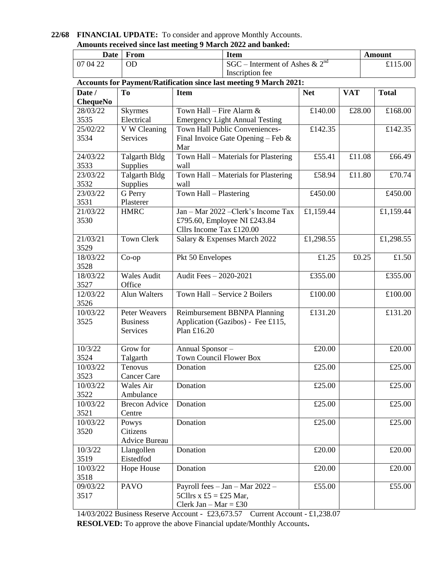|                                                              |  |  | 22/68 FINANCIAL UPDATE: To consider and approve Monthly Accounts. |  |  |  |
|--------------------------------------------------------------|--|--|-------------------------------------------------------------------|--|--|--|
| Amounts received since last meeting 9 March 2022 and banked: |  |  |                                                                   |  |  |  |
|                                                              |  |  |                                                                   |  |  |  |

| <b>Date</b>                                                               | <b>Item</b><br>From  |                                              |                                     | <b>Amount</b> |                |              |                                         |  |  |  |  |  |
|---------------------------------------------------------------------------|----------------------|----------------------------------------------|-------------------------------------|---------------|----------------|--------------|-----------------------------------------|--|--|--|--|--|
| 07 04 22<br><b>OD</b>                                                     |                      |                                              | SGC – Interment of Ashes & $2^{nd}$ |               |                |              | £115.00                                 |  |  |  |  |  |
|                                                                           |                      |                                              | Inscription fee                     |               |                |              |                                         |  |  |  |  |  |
| <b>Accounts for Payment/Ratification since last meeting 9 March 2021:</b> |                      |                                              |                                     |               |                |              |                                         |  |  |  |  |  |
| Date /                                                                    | To                   | <b>Item</b>                                  | <b>Net</b>                          | <b>VAT</b>    |                | <b>Total</b> |                                         |  |  |  |  |  |
| <b>ChequeNo</b>                                                           |                      |                                              |                                     |               |                |              |                                         |  |  |  |  |  |
| 28/03/22                                                                  | <b>Skyrmes</b>       | Town Hall – Fire Alarm $&$                   |                                     | £140.00       | £28.00         |              | £168.00                                 |  |  |  |  |  |
| 3535                                                                      | Electrical           | <b>Emergency Light Annual Testing</b>        |                                     |               |                |              |                                         |  |  |  |  |  |
| 25/02/22                                                                  | V W Cleaning         | Town Hall Public Conveniences-               |                                     | £142.35       |                |              | $\overline{\text{\textsterling}}142.35$ |  |  |  |  |  |
| 3534                                                                      | Services             | Final Invoice Gate Opening – Feb $\&$<br>Mar |                                     |               |                |              |                                         |  |  |  |  |  |
| 24/03/22                                                                  | <b>Talgarth Bldg</b> | Town Hall - Materials for Plastering         |                                     | £55.41        | £11.08         |              | £66.49                                  |  |  |  |  |  |
| 3533                                                                      | Supplies             | wall                                         |                                     |               |                |              |                                         |  |  |  |  |  |
| 23/03/22                                                                  | <b>Talgarth Bldg</b> | Town Hall - Materials for Plastering         |                                     | £58.94        | £11.80         |              | £70.74                                  |  |  |  |  |  |
| 3532                                                                      | Supplies             | wall                                         |                                     |               |                |              |                                         |  |  |  |  |  |
| 23/03/22                                                                  | G Perry              | Town Hall - Plastering                       |                                     | £450.00       |                |              | £450.00                                 |  |  |  |  |  |
| 3531                                                                      | Plasterer            |                                              |                                     |               |                |              |                                         |  |  |  |  |  |
| 21/03/22                                                                  | <b>HMRC</b>          | Jan - Mar 2022 - Clerk's Income Tax          |                                     | £1,159.44     |                |              | £1,159.44                               |  |  |  |  |  |
| 3530                                                                      |                      |                                              | £795.60, Employee NI £243.84        |               |                |              |                                         |  |  |  |  |  |
|                                                                           |                      | Cllrs Income Tax £120.00                     |                                     |               |                |              |                                         |  |  |  |  |  |
| 21/03/21                                                                  | <b>Town Clerk</b>    |                                              | Salary & Expenses March 2022        | £1,298.55     |                |              | £1,298.55                               |  |  |  |  |  |
| 3529                                                                      |                      |                                              |                                     |               |                |              |                                         |  |  |  |  |  |
| 18/03/22                                                                  | $Co$ -op             | Pkt 50 Envelopes                             |                                     |               | £0.25<br>£1.25 |              | £1.50                                   |  |  |  |  |  |
| 3528                                                                      |                      |                                              |                                     |               |                |              |                                         |  |  |  |  |  |
| 18/03/22                                                                  | <b>Wales Audit</b>   | Audit Fees - 2020-2021                       |                                     | £355.00       |                |              | £355.00                                 |  |  |  |  |  |
| 3527                                                                      | Office               |                                              |                                     |               |                |              |                                         |  |  |  |  |  |
| 12/03/22                                                                  | <b>Alun Walters</b>  |                                              | Town Hall - Service 2 Boilers       | £100.00       |                |              | £100.00                                 |  |  |  |  |  |
| 3526                                                                      |                      |                                              |                                     |               |                |              |                                         |  |  |  |  |  |
| 10/03/22                                                                  | Peter Weavers        | Reimbursement BBNPA Planning                 |                                     | £131.20       |                |              | £131.20                                 |  |  |  |  |  |
| 3525                                                                      | <b>Business</b>      |                                              | Application (Gazibos) - Fee £115,   |               |                |              |                                         |  |  |  |  |  |
|                                                                           | Services             | Plan £16.20                                  |                                     |               |                |              |                                         |  |  |  |  |  |
| 10/3/22                                                                   | Grow for             |                                              |                                     | £20.00        |                |              | £20.00                                  |  |  |  |  |  |
| 3524                                                                      | Talgarth             | Annual Sponsor-<br>Town Council Flower Box   |                                     |               |                |              |                                         |  |  |  |  |  |
| 10/03/22                                                                  | Tenovus              |                                              |                                     | £25.00        |                |              | £25.00                                  |  |  |  |  |  |
| 3523                                                                      | <b>Cancer Care</b>   | Donation                                     |                                     |               |                |              |                                         |  |  |  |  |  |
| 10/03/22                                                                  | Wales Air            | Donation                                     |                                     | £25.00        |                |              | £25.00                                  |  |  |  |  |  |
| 3522                                                                      | Ambulance            |                                              |                                     |               |                |              |                                         |  |  |  |  |  |
| 10/03/22                                                                  | <b>Brecon Advice</b> | Donation                                     |                                     | £25.00        |                |              | £25.00                                  |  |  |  |  |  |
| 3521                                                                      | Centre               |                                              |                                     |               |                |              |                                         |  |  |  |  |  |
| 10/03/22                                                                  | Powys                | Donation                                     |                                     | £25.00        |                |              | £25.00                                  |  |  |  |  |  |
| 3520                                                                      | Citizens             |                                              |                                     |               |                |              |                                         |  |  |  |  |  |
|                                                                           | <b>Advice Bureau</b> |                                              |                                     |               |                |              |                                         |  |  |  |  |  |
| 10/3/22                                                                   | Llangollen           | Donation                                     |                                     | £20.00        |                |              | £20.00                                  |  |  |  |  |  |
| 3519                                                                      | Eistedfod            |                                              |                                     |               |                |              |                                         |  |  |  |  |  |
| 10/03/22                                                                  | Hope House           | Donation                                     |                                     | £20.00        |                |              | £20.00                                  |  |  |  |  |  |
| 3518                                                                      |                      |                                              |                                     |               |                |              |                                         |  |  |  |  |  |
| 09/03/22                                                                  | <b>PAVO</b>          | Payroll fees - Jan - Mar 2022 -              | £55.00                              |               |                | £55.00       |                                         |  |  |  |  |  |
| 3517                                                                      |                      | 5Cllrs x £5 = £25 Mar,                       |                                     |               |                |              |                                         |  |  |  |  |  |
|                                                                           |                      | Clerk Jan – Mar = £30                        |                                     |               |                |              |                                         |  |  |  |  |  |
|                                                                           |                      |                                              |                                     |               |                |              |                                         |  |  |  |  |  |

14/03/2022 Business Reserve Account - £23,673.57 Current Account - £1,238.07 **RESOLVED:** To approve the above Financial update/Monthly Accounts**.**